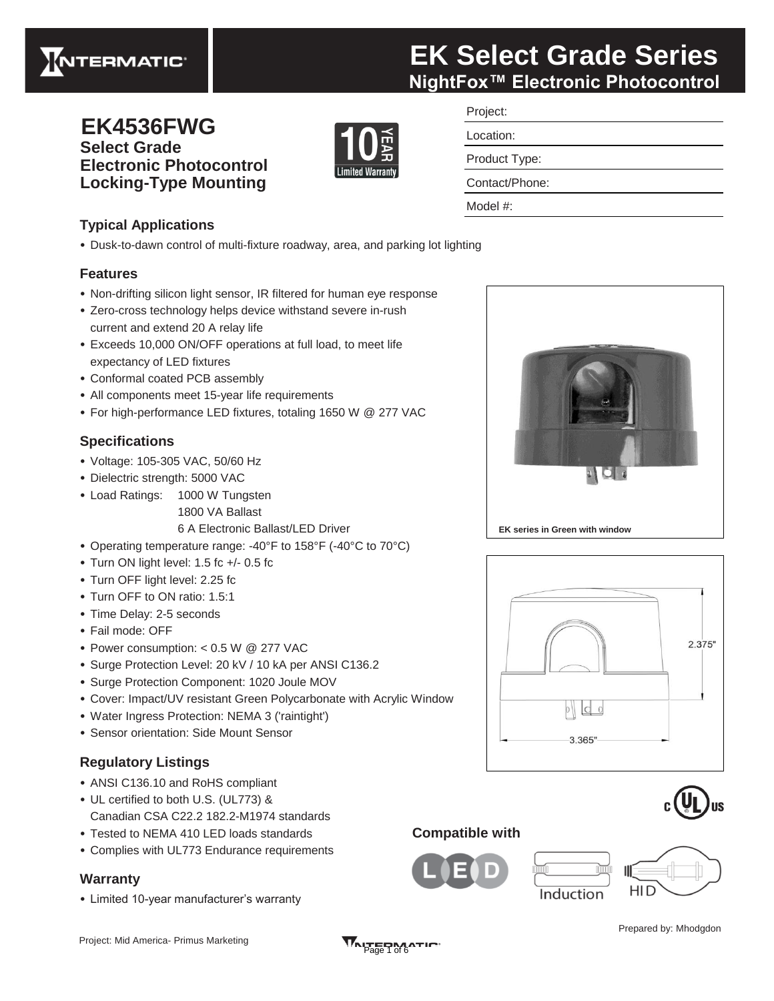

# **EK Select Grade Series NightFox™ Electronic Photocontrol**

# $EK4536FWG$   $\overrightarrow{A \cap R}$  Location: **Select Grade Product Type: Product Type: Product Type: Product Type: Locking-Type Mounting Contact/Phone:**



#### Project:

Model #:

# **Typical Applications**

• Dusk-to-dawn control of multi-fixture roadway, area, and parking lot lighting

#### **Features**

- Non-drifting silicon light sensor, IR filtered for human eye response
- Zero-cross technology helps device withstand severe in-rush current and extend 20 A relay life
- Exceeds 10,000 ON/OFF operations at full load, to meet life expectancy of LED fixtures
- Conformal coated PCB assembly
- All components meet 15-year life requirements
- For high-performance LED fixtures, totaling 1650 W  $@$  277 VAC

#### **Specifications**

- Voltage: 105-305 VAC, 50/60 Hz
- Dielectric strength: 5000 VAC
- Load Ratings: 1000 W Tungsten • 1800 VA Ballast
	- 6 A Electronic Ballast/LED Driver **EK series in Green with window**
- Operating temperature range: -40°F to 158°F (-40°C to 70°C)
- Turn ON light level: 1.5 fc +/- 0.5 fc
- Turn OFF light level: 2.25 fc
- Turn OFF to ON ratio: 1.5:1
- Time Delay: 2-5 seconds
- Fail mode: OFF
- Power consumption: < 0.5 W @ 277 VAC
- Surge Protection Level: 20 kV / 10 kA per ANSI C136.2
- Surge Protection Component: 1020 Joule MOV
- Cover: Impact/UV resistant Green Polycarbonate with Acrylic Window
- Water Ingress Protection: NEMA 3 ('raintight')
- Sensor orientation: Side Mount Sensor

# **Regulatory Listings**

- ANSI C136.10 and RoHS compliant
- UL certified to both U.S. (UL773) & Canadian CSA C22.2 182.2-M1974 standards
- Tested to NEMA 410 LED loads standards **Compatible with**
- Complies with UL773 Endurance requirements

### **Warranty**

• Limited 10-year manufacturer's warranty











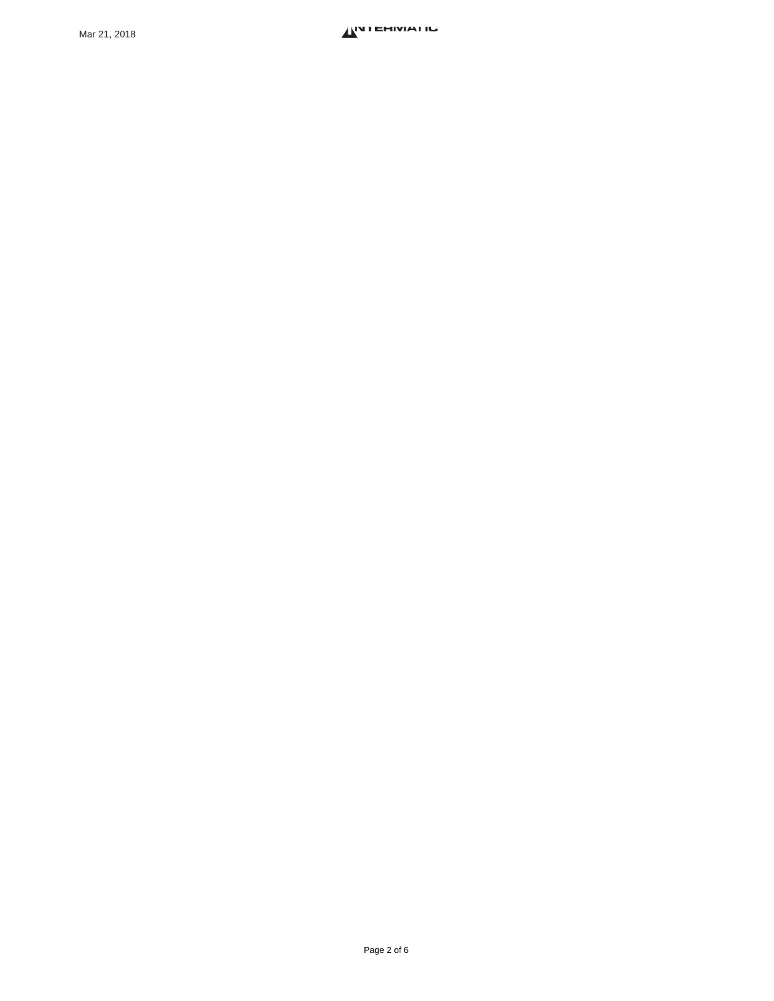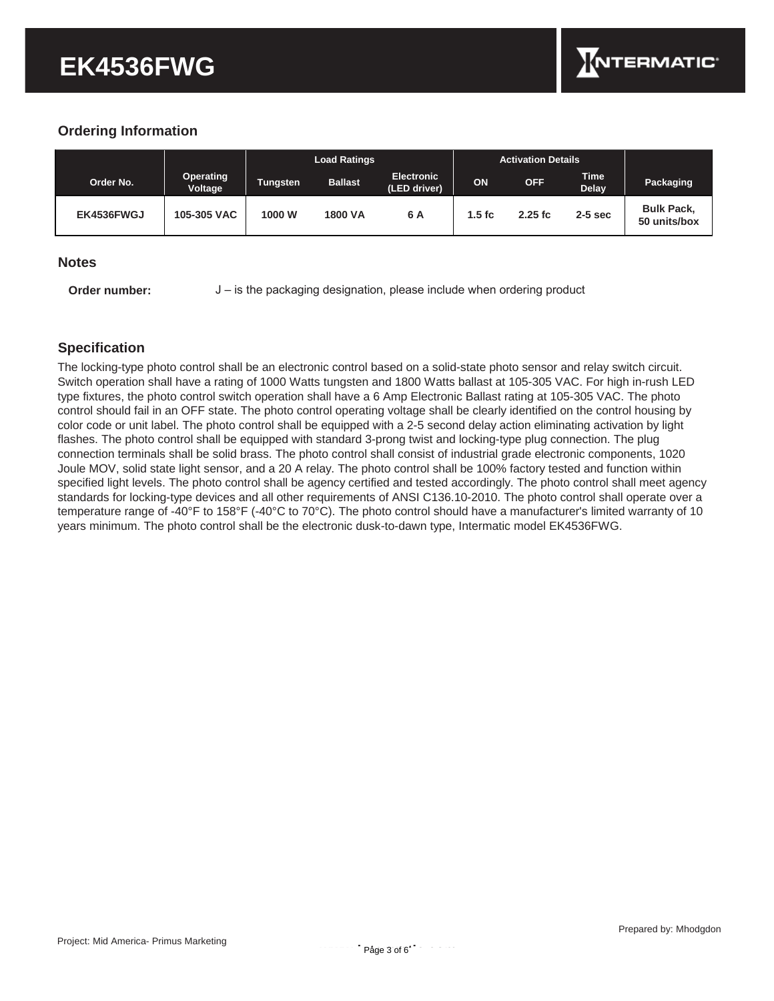# **EK4536FWG**



### **Ordering Information**

|            |                             | <b>Load Ratings</b> |                |                                   | <b>Activation Details</b> |            |               |                                   |
|------------|-----------------------------|---------------------|----------------|-----------------------------------|---------------------------|------------|---------------|-----------------------------------|
| Order No.  | <b>Operating</b><br>Voltage | <b>Tungsten</b>     | <b>Ballast</b> | <b>Electronic</b><br>(LED driver) | ON                        | <b>OFF</b> | Time<br>Delay | Packaging                         |
| EK4536FWGJ | 105-305 VAC                 | 1000 W              | <b>1800 VA</b> | 6 A                               | $1.5$ fc                  | $2.25$ fc  | $2-5$ sec     | <b>Bulk Pack,</b><br>50 units/box |

#### **Notes**

**Order number:**

J – is the packaging designation, please include when ordering product

### **Specification**

The locking-type photo control shall be an electronic control based on a solid-state photo sensor and relay switch circuit. Switch operation shall have a rating of 1000 Watts tungsten and 1800 Watts ballast at 105-305 VAC. For high in-rush LED type fixtures, the photo control switch operation shall have a 6 Amp Electronic Ballast rating at 105-305 VAC. The photo control should fail in an OFF state. The photo control operating voltage shall be clearly identified on the control housing by color code or unit label. The photo control shall be equipped with a 2-5 second delay action eliminating activation by light flashes. The photo control shall be equipped with standard 3-prong twist and locking-type plug connection. The plug connection terminals shall be solid brass. The photo control shall consist of industrial grade electronic components, 1020 Joule MOV, solid state light sensor, and a 20 A relay. The photo control shall be 100% factory tested and function within specified light levels. The photo control shall be agency certified and tested accordingly. The photo control shall meet agency standards for locking-type devices and all other requirements of ANSI C136.10-2010. The photo control shall operate over a temperature range of -40°F to 158°F (-40°C to 70°C). The photo control should have a manufacturer's limited warranty of 10 years minimum. The photo control shall be the electronic dusk-to-dawn type, Intermatic model EK4536FWG.